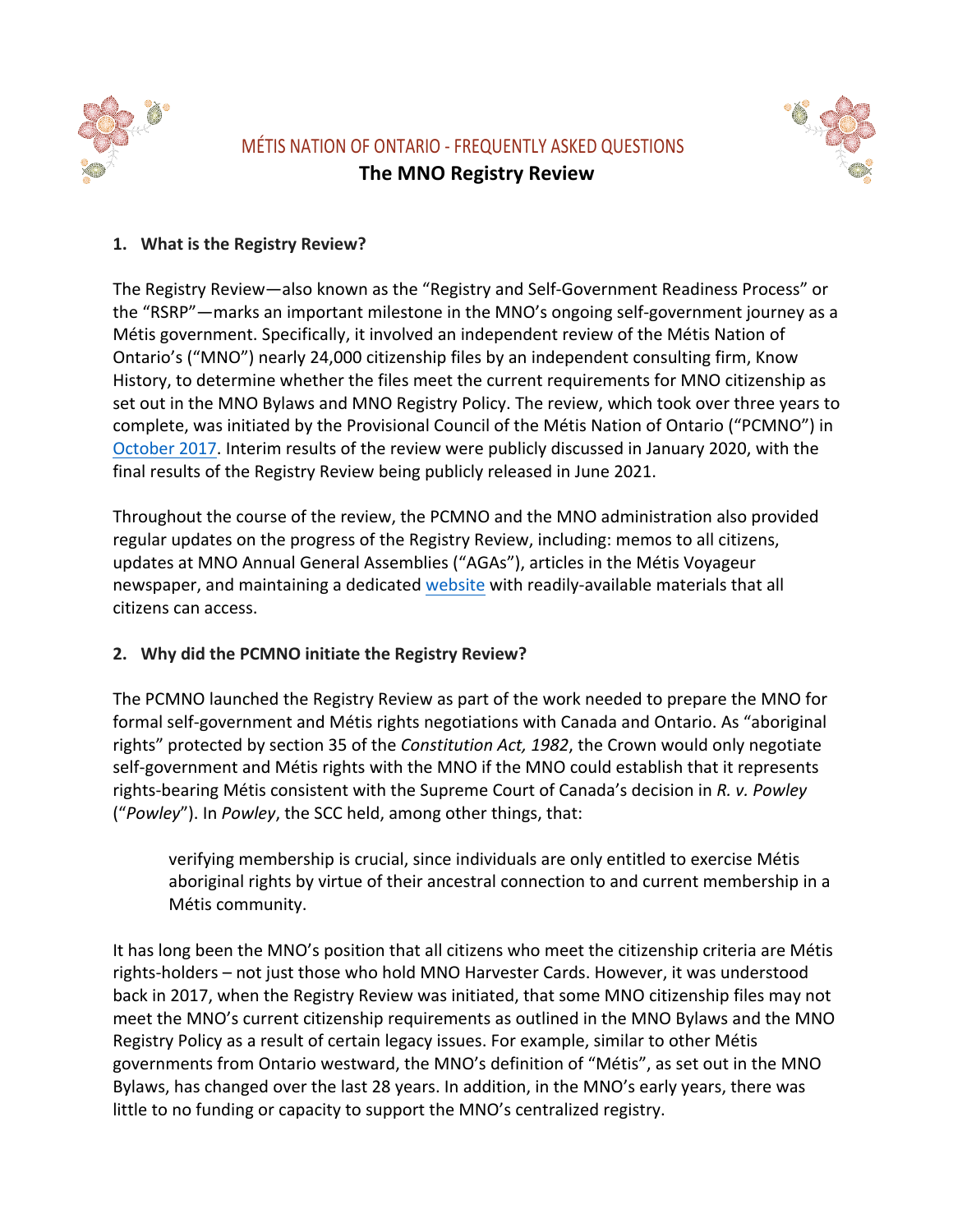

# MÉTIS NATION OF ONTARIO - FREQUENTLY ASKED QUESTIONS **The MNO Registry Review**



### **1.** What is the Registry Review?

The Registry Review—also known as the "Registry and Self-Government Readiness Process" or the "RSRP"—marks an important milestone in the MNO's ongoing self-government journey as a Métis government. Specifically, it involved an independent review of the Métis Nation of Ontario's ("MNO") nearly 24,000 citizenship files by an independent consulting firm, Know History, to determine whether the files meet the current requirements for MNO citizenship as set out in the MNO Bylaws and MNO Registry Policy. The review, which took over three years to complete, was initiated by the Provisional Council of the Métis Nation of Ontario ("PCMNO") in October 2017. Interim results of the review were publicly discussed in January 2020, with the final results of the Registry Review being publicly released in June 2021.

Throughout the course of the review, the PCMNO and the MNO administration also provided regular updates on the progress of the Registry Review, including: memos to all citizens, updates at MNO Annual General Assemblies ("AGAs"), articles in the Métis Voyageur newspaper, and maintaining a dedicated website with readily-available materials that all citizens can access.

# 2. Why did the PCMNO initiate the Registry Review?

The PCMNO launched the Registry Review as part of the work needed to prepare the MNO for formal self-government and Métis rights negotiations with Canada and Ontario. As "aboriginal rights" protected by section 35 of the *Constitution Act, 1982*, the Crown would only negotiate self-government and Métis rights with the MNO if the MNO could establish that it represents rights-bearing Métis consistent with the Supreme Court of Canada's decision in R. v. Powley ("Powley"). In Powley, the SCC held, among other things, that:

verifying membership is crucial, since individuals are only entitled to exercise Métis aboriginal rights by virtue of their ancestral connection to and current membership in a Métis community.

It has long been the MNO's position that all citizens who meet the citizenship criteria are Métis rights-holders – not just those who hold MNO Harvester Cards. However, it was understood back in 2017, when the Registry Review was initiated, that some MNO citizenship files may not meet the MNO's current citizenship requirements as outlined in the MNO Bylaws and the MNO Registry Policy as a result of certain legacy issues. For example, similar to other Métis governments from Ontario westward, the MNO's definition of "Métis", as set out in the MNO Bylaws, has changed over the last 28 years. In addition, in the MNO's early years, there was little to no funding or capacity to support the MNO's centralized registry.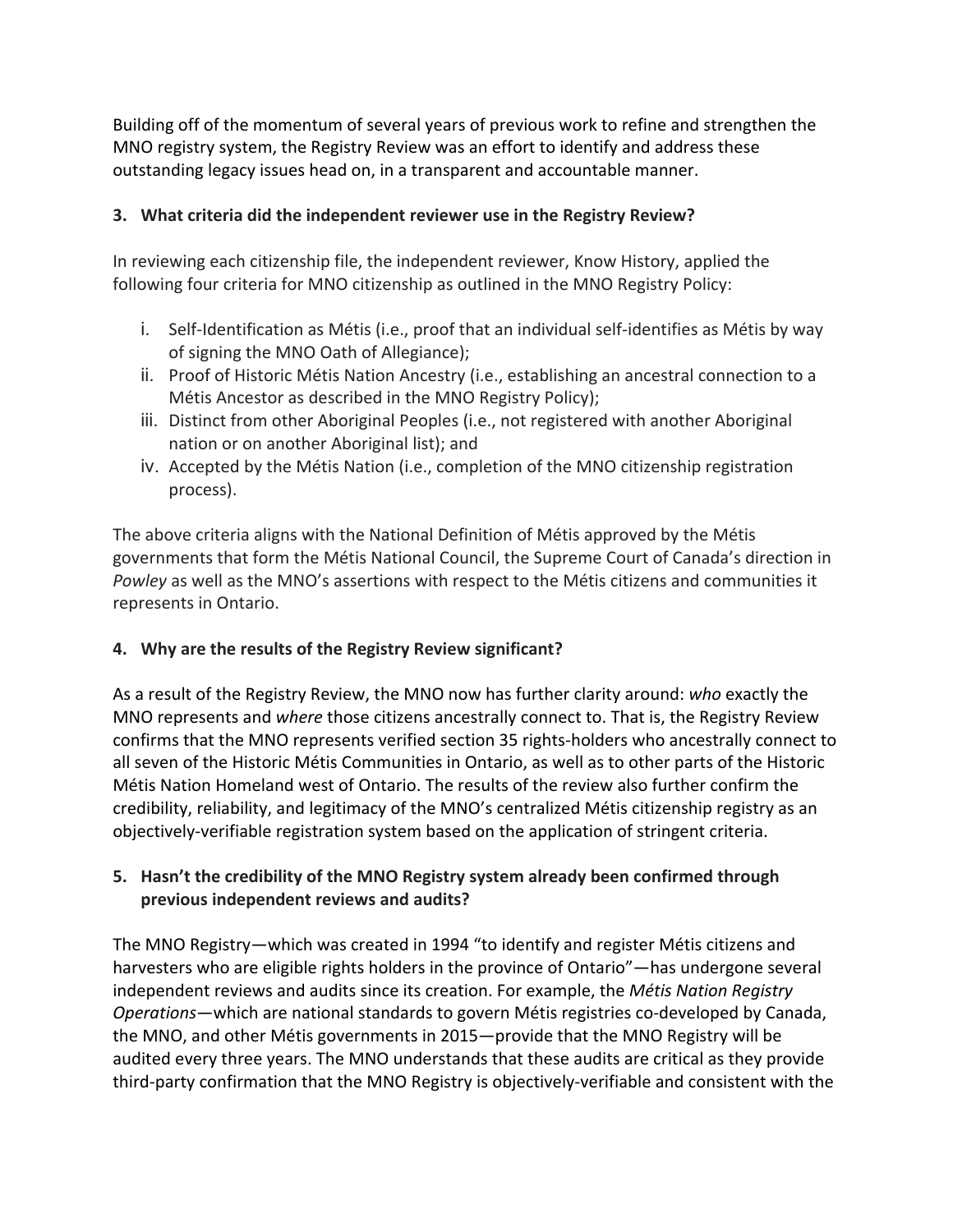Building off of the momentum of several years of previous work to refine and strengthen the MNO registry system, the Registry Review was an effort to identify and address these outstanding legacy issues head on, in a transparent and accountable manner.

### **3.** What criteria did the independent reviewer use in the Registry Review?

In reviewing each citizenship file, the independent reviewer, Know History, applied the following four criteria for MNO citizenship as outlined in the MNO Registry Policy:

- i. Self-Identification as Métis (i.e., proof that an individual self-identifies as Métis by way of signing the MNO Oath of Allegiance);
- ii. Proof of Historic Métis Nation Ancestry (i.e., establishing an ancestral connection to a Métis Ancestor as described in the MNO Registry Policy);
- iii. Distinct from other Aboriginal Peoples (i.e., not registered with another Aboriginal nation or on another Aboriginal list); and
- iv. Accepted by the Métis Nation (i.e., completion of the MNO citizenship registration process).

The above criteria aligns with the National Definition of Métis approved by the Métis governments that form the Métis National Council, the Supreme Court of Canada's direction in Powley as well as the MNO's assertions with respect to the Métis citizens and communities it represents in Ontario.

# **4.** Why are the results of the Registry Review significant?

As a result of the Registry Review, the MNO now has further clarity around: *who* exactly the MNO represents and *where* those citizens ancestrally connect to. That is, the Registry Review confirms that the MNO represents verified section 35 rights-holders who ancestrally connect to all seven of the Historic Métis Communities in Ontario, as well as to other parts of the Historic Métis Nation Homeland west of Ontario. The results of the review also further confirm the credibility, reliability, and legitimacy of the MNO's centralized Métis citizenship registry as an objectively-verifiable registration system based on the application of stringent criteria.

### **5.** Hasn't the credibility of the MNO Registry system already been confirmed through previous independent reviews and audits?

The MNO Registry—which was created in 1994 "to identify and register Métis citizens and harvesters who are eligible rights holders in the province of Ontario"—has undergone several independent reviews and audits since its creation. For example, the *Métis Nation Registry Operations*—which are national standards to govern Métis registries co-developed by Canada, the MNO, and other Métis governments in 2015—provide that the MNO Registry will be audited every three years. The MNO understands that these audits are critical as they provide third-party confirmation that the MNO Registry is objectively-verifiable and consistent with the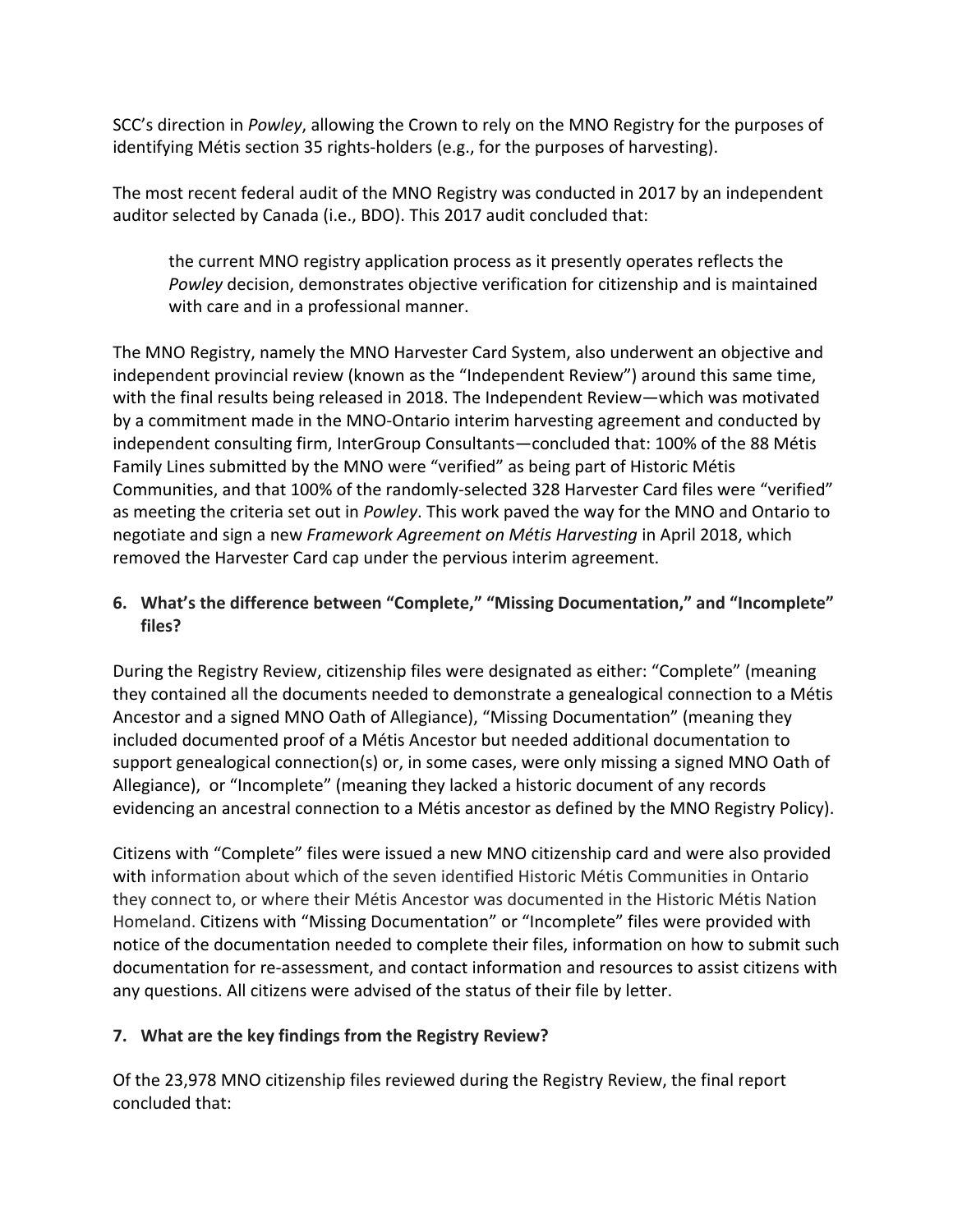SCC's direction in *Powley*, allowing the Crown to rely on the MNO Registry for the purposes of identifying Métis section 35 rights-holders (e.g., for the purposes of harvesting).

The most recent federal audit of the MNO Registry was conducted in 2017 by an independent auditor selected by Canada (i.e., BDO). This 2017 audit concluded that:

the current MNO registry application process as it presently operates reflects the *Powley* decision, demonstrates objective verification for citizenship and is maintained with care and in a professional manner.

The MNO Registry, namely the MNO Harvester Card System, also underwent an objective and independent provincial review (known as the "Independent Review") around this same time, with the final results being released in 2018. The Independent Review—which was motivated by a commitment made in the MNO-Ontario interim harvesting agreement and conducted by independent consulting firm, InterGroup Consultants—concluded that: 100% of the 88 Métis Family Lines submitted by the MNO were "verified" as being part of Historic Métis Communities, and that 100% of the randomly-selected 328 Harvester Card files were "verified" as meeting the criteria set out in *Powley*. This work paved the way for the MNO and Ontario to negotiate and sign a new *Framework Agreement on Métis Harvesting* in April 2018, which removed the Harvester Card cap under the pervious interim agreement.

### 6. What's the difference between "Complete," "Missing Documentation," and "Incomplete" **files?**

During the Registry Review, citizenship files were designated as either: "Complete" (meaning they contained all the documents needed to demonstrate a genealogical connection to a Métis Ancestor and a signed MNO Oath of Allegiance), "Missing Documentation" (meaning they included documented proof of a Métis Ancestor but needed additional documentation to support genealogical connection(s) or, in some cases, were only missing a signed MNO Oath of Allegiance), or "Incomplete" (meaning they lacked a historic document of any records evidencing an ancestral connection to a Métis ancestor as defined by the MNO Registry Policy).

Citizens with "Complete" files were issued a new MNO citizenship card and were also provided with information about which of the seven identified Historic Métis Communities in Ontario they connect to, or where their Métis Ancestor was documented in the Historic Métis Nation Homeland. Citizens with "Missing Documentation" or "Incomplete" files were provided with notice of the documentation needed to complete their files, information on how to submit such documentation for re-assessment, and contact information and resources to assist citizens with any questions. All citizens were advised of the status of their file by letter.

# **7.** What are the key findings from the Registry Review?

Of the 23,978 MNO citizenship files reviewed during the Registry Review, the final report concluded that: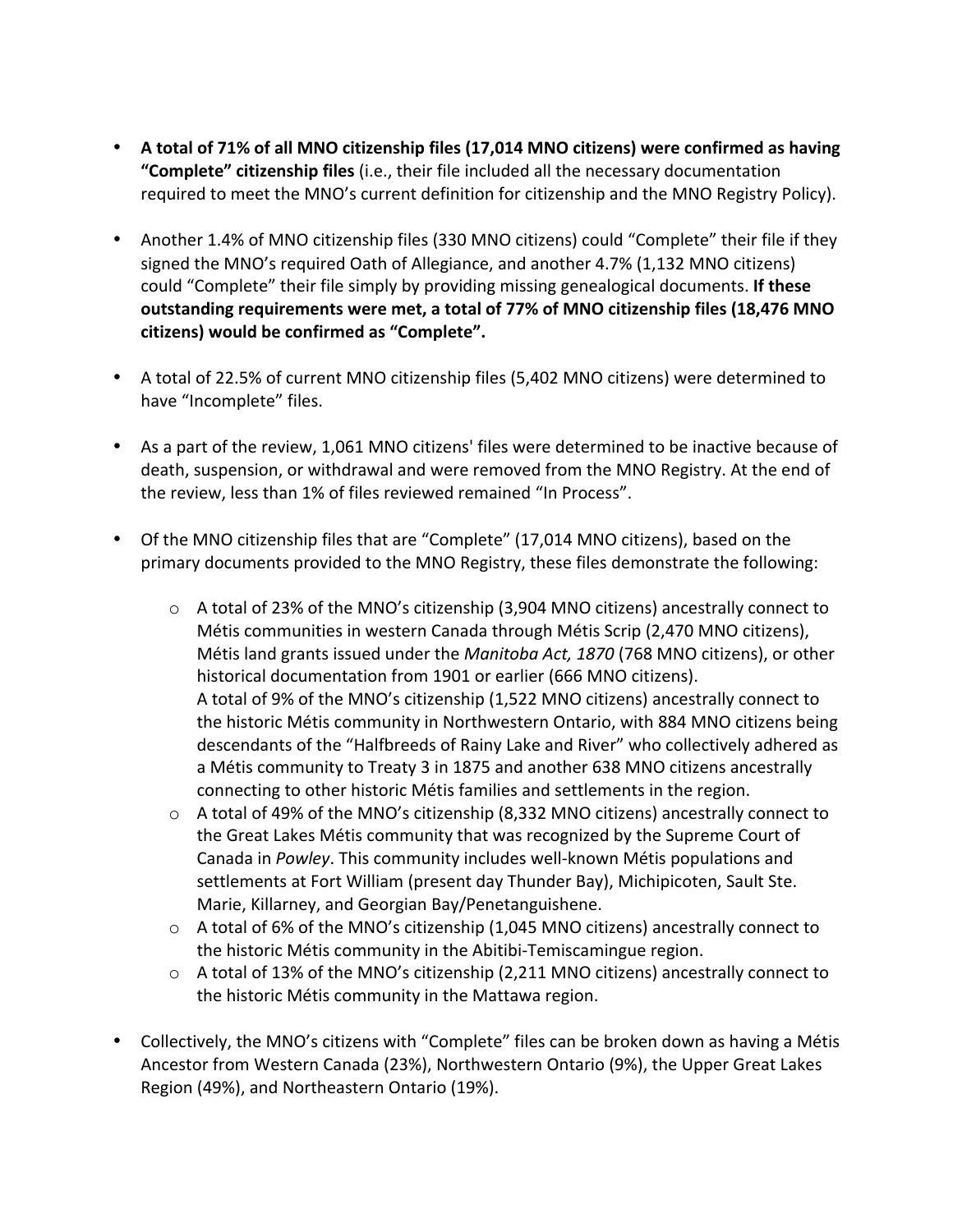- A total of 71% of all MNO citizenship files (17,014 MNO citizens) were confirmed as having "Complete" citizenship files (i.e., their file included all the necessary documentation required to meet the MNO's current definition for citizenship and the MNO Registry Policy).
- Another 1.4% of MNO citizenship files (330 MNO citizens) could "Complete" their file if they signed the MNO's required Oath of Allegiance, and another 4.7% (1,132 MNO citizens) could "Complete" their file simply by providing missing genealogical documents. If these outstanding requirements were met, a total of 77% of MNO citizenship files (18,476 MNO **citizens) would be confirmed as "Complete".**
- A total of 22.5% of current MNO citizenship files (5,402 MNO citizens) were determined to have "Incomplete" files.
- As a part of the review, 1,061 MNO citizens' files were determined to be inactive because of death, suspension, or withdrawal and were removed from the MNO Registry. At the end of the review, less than 1% of files reviewed remained "In Process".
- Of the MNO citizenship files that are "Complete" (17,014 MNO citizens), based on the primary documents provided to the MNO Registry, these files demonstrate the following:
	- $\circ$  A total of 23% of the MNO's citizenship (3,904 MNO citizens) ancestrally connect to Métis communities in western Canada through Métis Scrip (2,470 MNO citizens), Métis land grants issued under the *Manitoba Act, 1870* (768 MNO citizens), or other historical documentation from 1901 or earlier (666 MNO citizens). A total of 9% of the MNO's citizenship (1,522 MNO citizens) ancestrally connect to the historic Métis community in Northwestern Ontario, with 884 MNO citizens being descendants of the "Halfbreeds of Rainy Lake and River" who collectively adhered as a Métis community to Treaty 3 in 1875 and another 638 MNO citizens ancestrally connecting to other historic Métis families and settlements in the region.
	- $\circ$  A total of 49% of the MNO's citizenship (8,332 MNO citizens) ancestrally connect to the Great Lakes Métis community that was recognized by the Supreme Court of Canada in *Powley*. This community includes well-known Métis populations and settlements at Fort William (present day Thunder Bay), Michipicoten, Sault Ste. Marie, Killarney, and Georgian Bay/Penetanguishene.
	- $\circ$  A total of 6% of the MNO's citizenship (1,045 MNO citizens) ancestrally connect to the historic Métis community in the Abitibi-Temiscamingue region.
	- $\circ$  A total of 13% of the MNO's citizenship (2,211 MNO citizens) ancestrally connect to the historic Métis community in the Mattawa region.
- Collectively, the MNO's citizens with "Complete" files can be broken down as having a Métis Ancestor from Western Canada (23%), Northwestern Ontario (9%), the Upper Great Lakes Region (49%), and Northeastern Ontario (19%).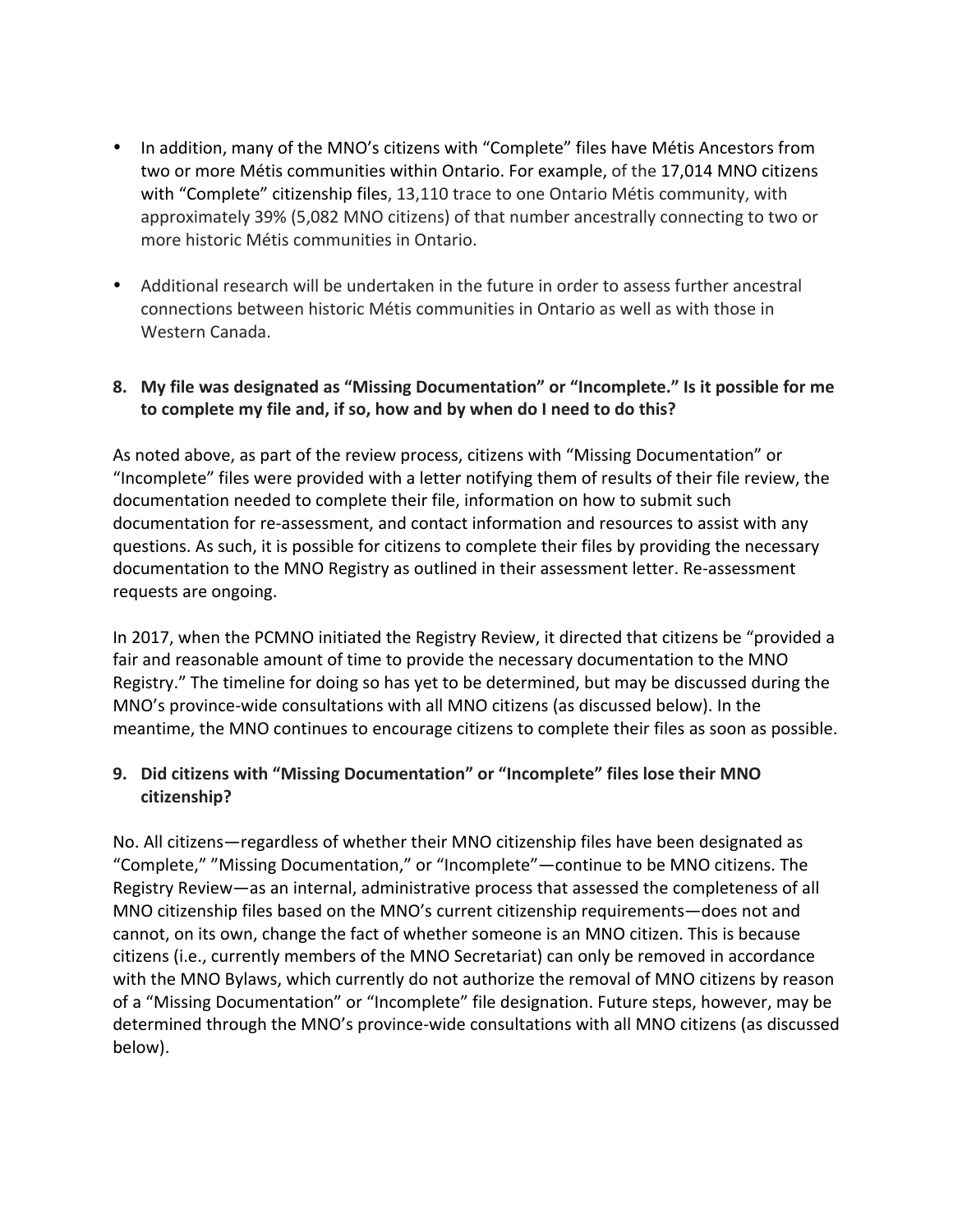- In addition, many of the MNO's citizens with "Complete" files have Métis Ancestors from two or more Métis communities within Ontario. For example, of the 17,014 MNO citizens with "Complete" citizenship files, 13,110 trace to one Ontario Métis community, with approximately 39% (5,082 MNO citizens) of that number ancestrally connecting to two or more historic Métis communities in Ontario.
- Additional research will be undertaken in the future in order to assess further ancestral connections between historic Métis communities in Ontario as well as with those in Western Canada.

#### **8.** My file was designated as "Missing Documentation" or "Incomplete." Is it possible for me to complete my file and, if so, how and by when do I need to do this?

As noted above, as part of the review process, citizens with "Missing Documentation" or "Incomplete" files were provided with a letter notifying them of results of their file review, the documentation needed to complete their file, information on how to submit such documentation for re-assessment, and contact information and resources to assist with any questions. As such, it is possible for citizens to complete their files by providing the necessary documentation to the MNO Registry as outlined in their assessment letter. Re-assessment requests are ongoing.

In 2017, when the PCMNO initiated the Registry Review, it directed that citizens be "provided a fair and reasonable amount of time to provide the necessary documentation to the MNO Registry." The timeline for doing so has yet to be determined, but may be discussed during the MNO's province-wide consultations with all MNO citizens (as discussed below). In the meantime, the MNO continues to encourage citizens to complete their files as soon as possible.

# **9. Did citizens with "Missing Documentation" or "Incomplete" files lose their MNO citizenship?**

No. All citizens—regardless of whether their MNO citizenship files have been designated as "Complete," "Missing Documentation," or "Incomplete"—continue to be MNO citizens. The Registry Review—as an internal, administrative process that assessed the completeness of all MNO citizenship files based on the MNO's current citizenship requirements—does not and cannot, on its own, change the fact of whether someone is an MNO citizen. This is because citizens (i.e., currently members of the MNO Secretariat) can only be removed in accordance with the MNO Bylaws, which currently do not authorize the removal of MNO citizens by reason of a "Missing Documentation" or "Incomplete" file designation. Future steps, however, may be determined through the MNO's province-wide consultations with all MNO citizens (as discussed below).